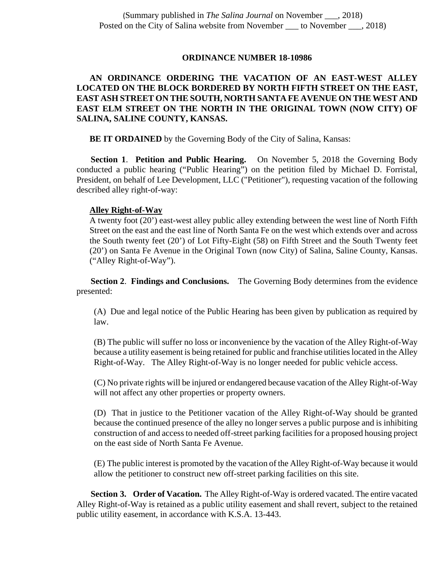## **ORDINANCE NUMBER 18-10986**

## **AN ORDINANCE ORDERING THE VACATION OF AN EAST-WEST ALLEY LOCATED ON THE BLOCK BORDERED BY NORTH FIFTH STREET ON THE EAST, EAST ASH STREET ON THE SOUTH, NORTH SANTA FE AVENUE ON THE WEST AND EAST ELM STREET ON THE NORTH IN THE ORIGINAL TOWN (NOW CITY) OF SALINA, SALINE COUNTY, KANSAS.**

**BE IT ORDAINED** by the Governing Body of the City of Salina, Kansas:

**Section 1**. **Petition and Public Hearing.** On November 5, 2018 the Governing Body conducted a public hearing ("Public Hearing") on the petition filed by Michael D. Forristal, President, on behalf of Lee Development, LLC ("Petitioner"), requesting vacation of the following described alley right-of-way:

## **Alley Right-of-Way**

A twenty foot (20') east-west alley public alley extending between the west line of North Fifth Street on the east and the east line of North Santa Fe on the west which extends over and across the South twenty feet (20') of Lot Fifty-Eight (58) on Fifth Street and the South Twenty feet (20') on Santa Fe Avenue in the Original Town (now City) of Salina, Saline County, Kansas. ("Alley Right-of-Way").

**Section 2**. **Findings and Conclusions.** The Governing Body determines from the evidence presented:

(A) Due and legal notice of the Public Hearing has been given by publication as required by law.

(B) The public will suffer no loss or inconvenience by the vacation of the Alley Right-of-Way because a utility easement is being retained for public and franchise utilities located in the Alley Right-of-Way. The Alley Right-of-Way is no longer needed for public vehicle access.

(C) No private rights will be injured or endangered because vacation of the Alley Right-of-Way will not affect any other properties or property owners.

(D) That in justice to the Petitioner vacation of the Alley Right-of-Way should be granted because the continued presence of the alley no longer serves a public purpose and is inhibiting construction of and access to needed off-street parking facilities for a proposed housing project on the east side of North Santa Fe Avenue.

(E) The public interest is promoted by the vacation of the Alley Right-of-Way because it would allow the petitioner to construct new off-street parking facilities on this site.

**Section 3. Order of Vacation.** The Alley Right-of-Way is ordered vacated. The entire vacated Alley Right-of-Way is retained as a public utility easement and shall revert, subject to the retained public utility easement, in accordance with K.S.A. 13-443.